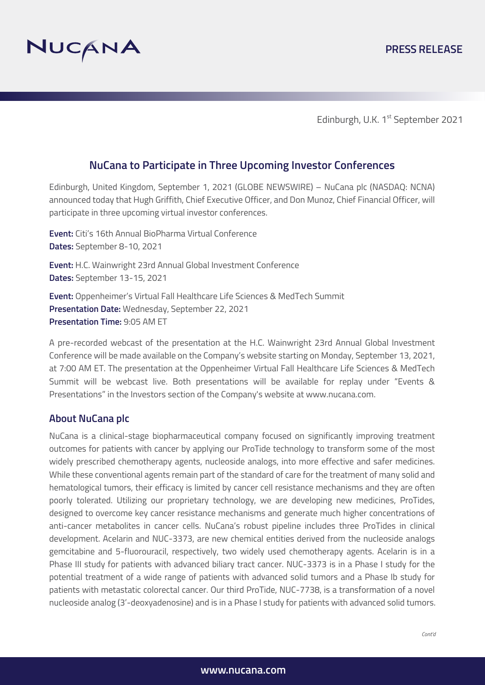

Edinburgh, U.K. 1<sup>st</sup> September 2021

## **NuCana to Participate in Three Upcoming Investor Conferences**

Edinburgh, United Kingdom, September 1, 2021 (GLOBE NEWSWIRE) – NuCana plc (NASDAQ: NCNA) announced today that Hugh Griffith, Chief Executive Officer, and Don Munoz, Chief Financial Officer, will participate in three upcoming virtual investor conferences.

**Event:** Citi's 16th Annual BioPharma Virtual Conference **Dates:** September 8-10, 2021

**Event:** H.C. Wainwright 23rd Annual Global Investment Conference **Dates:** September 13-15, 2021

**Event:** Oppenheimer's Virtual Fall Healthcare Life Sciences & MedTech Summit **Presentation Date:** Wednesday, September 22, 2021 **Presentation Time:** 9:05 AM ET

A pre-recorded webcast of the presentation at the H.C. Wainwright 23rd Annual Global Investment Conference will be made available on the Company's website starting on Monday, September 13, 2021, at 7:00 AM ET. The presentation at the Oppenheimer Virtual Fall Healthcare Life Sciences & MedTech Summit will be webcast live. Both presentations will be available for replay under "Events & Presentations" in the Investors section of the Company's website at www.nucana.com.

## **About NuCana plc**

NuCana is a clinical-stage biopharmaceutical company focused on significantly improving treatment outcomes for patients with cancer by applying our ProTide technology to transform some of the most widely prescribed chemotherapy agents, nucleoside analogs, into more effective and safer medicines. While these conventional agents remain part of the standard of care for the treatment of many solid and hematological tumors, their efficacy is limited by cancer cell resistance mechanisms and they are often poorly tolerated. Utilizing our proprietary technology, we are developing new medicines, ProTides, designed to overcome key cancer resistance mechanisms and generate much higher concentrations of anti-cancer metabolites in cancer cells. NuCana's robust pipeline includes three ProTides in clinical development. Acelarin and NUC-3373, are new chemical entities derived from the nucleoside analogs gemcitabine and 5-fluorouracil, respectively, two widely used chemotherapy agents. Acelarin is in a Phase III study for patients with advanced biliary tract cancer. NUC-3373 is in a Phase I study for the potential treatment of a wide range of patients with advanced solid tumors and a Phase Ib study for patients with metastatic colorectal cancer. Our third ProTide, NUC-7738, is a transformation of a novel nucleoside analog (3'-deoxyadenosine) and is in a Phase I study for patients with advanced solid tumors.